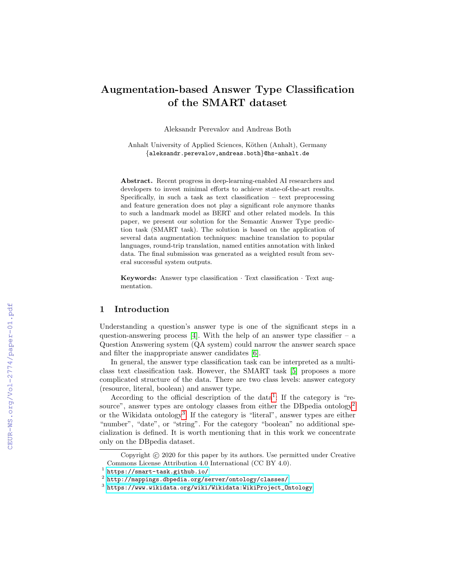# Augmentation-based Answer Type Classification of the SMART dataset

Aleksandr Perevalov and Andreas Both

Anhalt University of Applied Sciences, Köthen (Anhalt), Germany {aleksandr.perevalov,andreas.both}@hs-anhalt.de

Abstract. Recent progress in deep-learning-enabled AI researchers and developers to invest minimal efforts to achieve state-of-the-art results. Specifically, in such a task as text classification – text preprocessing and feature generation does not play a significant role anymore thanks to such a landmark model as BERT and other related models. In this paper, we present our solution for the Semantic Answer Type prediction task (SMART task). The solution is based on the application of several data augmentation techniques: machine translation to popular languages, round-trip translation, named entities annotation with linked data. The final submission was generated as a weighted result from several successful system outputs.

**Keywords:** Answer type classification  $\cdot$  Text classification  $\cdot$  Text augmentation.

# 1 Introduction

Understanding a question's answer type is one of the significant steps in a question-answering process  $[4]$ . With the help of an answer type classifier – a Question Answering system (QA system) could narrow the answer search space and filter the inappropriate answer candidates [\[6\]](#page--1-1).

In general, the answer type classification task can be interpreted as a multiclass text classification task. However, the SMART task [\[5\]](#page--1-2) proposes a more complicated structure of the data. There are two class levels: answer category (resource, literal, boolean) and answer type.

According to the official description of the data<sup>[1](#page-0-0)</sup>: If the category is "re-source", answer types are ontology classes from either the DBpedia ontology<sup>[2](#page-0-1)</sup> or the Wikidata ontology<sup>[3](#page-0-2)</sup>. If the category is "literal", answer types are either "number", "date", or "string". For the category "boolean" no additional specialization is defined. It is worth mentioning that in this work we concentrate only on the DBpedia dataset.

Copyright  $\odot$  2020 for this paper by its authors. Use permitted under Creative Commons License Attribution 4.0 International (CC BY 4.0).

<span id="page-0-0"></span><sup>1</sup> <https://smart-task.github.io/>

<span id="page-0-1"></span> $^{\rm 2}$  <http://mappings.dbpedia.org/server/ontology/classes/>

<span id="page-0-2"></span> $^3$  [https://www.wikidata.org/wiki/Wikidata:WikiProject\\_Ontology](https://www.wikidata.org/wiki/Wikidata:WikiProject_Ontology)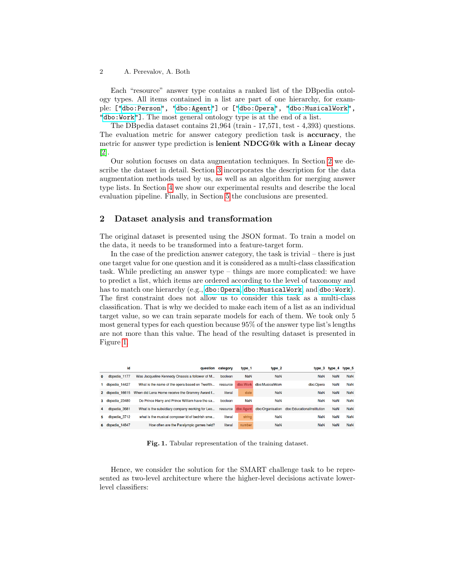Each "resource" answer type contains a ranked list of the DBpedia ontology types. All items contained in a list are part of one hierarchy, for example: [["dbo:Person"](http://dbpedia.org/ontology/Person), ["dbo:Agent"](http://dbpedia.org/ontology/Agent)] or [["dbo:Opera"](http://dbpedia.org/ontology/Opera), ["dbo:MusicalWork"](http://dbpedia.org/ontology/MusicalWork), ["dbo:Work"](http://dbpedia.org/ontology/Work)]. The most general ontology type is at the end of a list.

The DBpedia dataset contains 21,964 (train - 17,571, test - 4,393) questions. The evaluation metric for answer category prediction task is accuracy, the metric for answer type prediction is lenient NDCG@k with a Linear decay [\[2\]](#page-8-0).

Our solution focuses on data augmentation techniques. In Section [2](#page-1-0) we describe the dataset in detail. Section [3](#page-2-0) incorporates the description for the data augmentation methods used by us, as well as an algorithm for merging answer type lists. In Section [4](#page-5-0) we show our experimental results and describe the local evaluation pipeline. Finally, in Section [5](#page-7-0) the conclusions are presented.

# <span id="page-1-0"></span>2 Dataset analysis and transformation

The original dataset is presented using the JSON format. To train a model on the data, it needs to be transformed into a feature-target form.

In the case of the prediction answer category, the task is trivial – there is just one target value for one question and it is considered as a multi-class classification task. While predicting an answer type – things are more complicated: we have to predict a list, which items are ordered according to the level of taxonomy and has to match one hierarchy (e.g., dbo: Opera, dbo: Musical Work, and dbo: Work). The first constraint does not allow us to consider this task as a multi-class classification. That is why we decided to make each item of a list as an individual target value, so we can train separate models for each of them. We took only 5 most general types for each question because 95% of the answer type list's lengths are not more than this value. The head of the resulting dataset is presented in Figure [1.](#page-1-1)

|          | id              | auestion                                       | category | type_1             | type 2          |                                             | type_3 type_4 | type 5     |
|----------|-----------------|------------------------------------------------|----------|--------------------|-----------------|---------------------------------------------|---------------|------------|
| $\Omega$ | dbpedia 1177    | Was Jacqueline Kennedy Onassis a follower of M | boolean  | <b>NaN</b>         | <b>NaN</b>      | <b>NaN</b>                                  | <b>NaN</b>    | <b>NaN</b> |
|          | dbpedia 14427   | What is the name of the opera based on Twelfth | resource | dbo:Work           | dbo:MusicalWork | dbo:Opera                                   | NaN           | <b>NaN</b> |
|          | 2 dbpedia 16615 | When did Lena Horne receive the Grammy Award f | literal  | date               | <b>NaN</b>      | <b>NaN</b>                                  | <b>NaN</b>    | <b>NaN</b> |
| 3.       | dbpedia 23480   | Do Prince Harry and Prince William have the sa | boolean  | <b>NaN</b>         | NaN             | <b>NaN</b>                                  | NaN           | <b>NaN</b> |
| 4        | dbpedia 3681    | What is the subsidiary company working for Leo |          | resource dbo:Agent |                 | dbo:Organisation dbo:EducationalInstitution | <b>NaN</b>    | <b>NaN</b> |
| 5.       | dbpedia 3712    | what is the musical composer id of bedrish sme | literal  | string             | <b>NaN</b>      | <b>NaN</b>                                  | <b>NaN</b>    | <b>NaN</b> |
| 6.       | dbpedia 14847   | How often are the Paralympic games held?       | literal  | number             | <b>NaN</b>      | <b>NaN</b>                                  | <b>NaN</b>    | <b>NaN</b> |

<span id="page-1-1"></span>Fig. 1. Tabular representation of the training dataset.

Hence, we consider the solution for the SMART challenge task to be represented as two-level architecture where the higher-level decisions activate lowerlevel classifiers: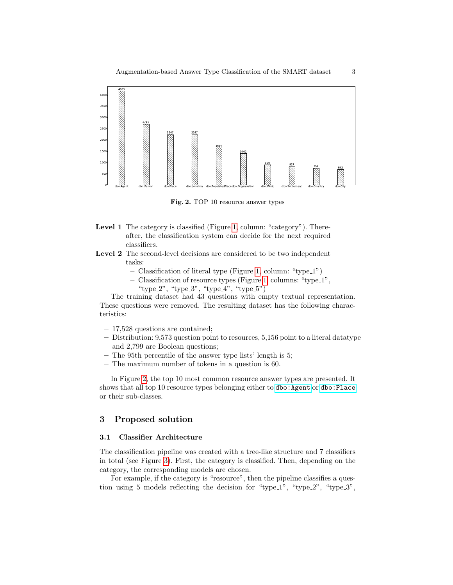

<span id="page-2-1"></span>Fig. 2. TOP 10 resource answer types

- Level 1 The category is classified (Figure [1,](#page-1-1) column: "category"). Thereafter, the classification system can decide for the next required classifiers.
- Level 2 The second-level decisions are considered to be two independent tasks:
	- Classification of literal type (Figure [1,](#page-1-1) column: "type 1")
	- Classification of resource types (Figure [1,](#page-1-1) columns: "type 1", "type\_2", "type\_3", "type\_4", "type\_5")

The training dataset had 43 questions with empty textual representation. These questions were removed. The resulting dataset has the following characteristics:

- 17,528 questions are contained;
- Distribution: 9,573 question point to resources, 5,156 point to a literal datatype and 2,799 are Boolean questions;
- The 95th percentile of the answer type lists' length is 5;
- The maximum number of tokens in a question is 60.

In Figure [2,](#page-2-1) the top 10 most common resource answer types are presented. It shows that all top 10 resource types belonging either to dbo: Agent or dbo: Place or their sub-classes.

## <span id="page-2-0"></span>3 Proposed solution

#### 3.1 Classifier Architecture

The classification pipeline was created with a tree-like structure and 7 classifiers in total (see Figure [3\)](#page-3-0). First, the category is classified. Then, depending on the category, the corresponding models are chosen.

For example, if the category is "resource", then the pipeline classifies a question using 5 models reflecting the decision for "type\_1", "type\_2", "type\_3",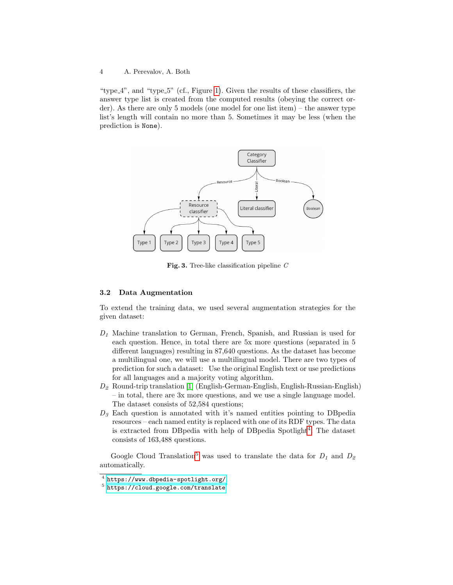"type  $4$ ", and "type  $5$ " (cf., Figure [1\)](#page-1-1). Given the results of these classifiers, the answer type list is created from the computed results (obeying the correct order). As there are only 5 models (one model for one list item) – the answer type list's length will contain no more than 5. Sometimes it may be less (when the prediction is None).



<span id="page-3-0"></span>Fig. 3. Tree-like classification pipeline C

#### <span id="page-3-3"></span>3.2 Data Augmentation

To extend the training data, we used several augmentation strategies for the given dataset:

- $D_1$  Machine translation to German, French, Spanish, and Russian is used for each question. Hence, in total there are 5x more questions (separated in 5 different languages) resulting in 87,640 questions. As the dataset has become a multilingual one, we will use a multilingual model. There are two types of prediction for such a dataset: Use the original English text or use predictions for all languages and a majority voting algorithm.
- $D_2$  Round-trip translation [\[1\]](#page-8-1) (English-German-English, English-Russian-English) – in total, there are 3x more questions, and we use a single language model. The dataset consists of 52,584 questions;
- $D_3$  Each question is annotated with it's named entities pointing to DB pedia resources – each named entity is replaced with one of its RDF types. The data is extracted from DBpedia with help of DBpedia Spotlight<sup>[4](#page-3-1)</sup>. The dataset consists of 163,488 questions.

Google Cloud Translation<sup>[5](#page-3-2)</sup> was used to translate the data for  $D_1$  and  $D_2$ automatically.

<span id="page-3-1"></span> $^4$  <https://www.dbpedia-spotlight.org/>

<span id="page-3-2"></span> $^5$  <https://cloud.google.com/translate>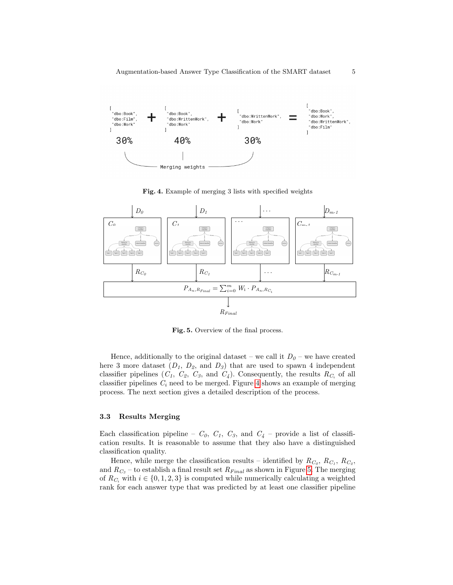

<span id="page-4-0"></span>Fig. 4. Example of merging 3 lists with specified weights



<span id="page-4-1"></span>Fig. 5. Overview of the final process.

Hence, additionally to the original dataset – we call it  $D_{\theta}$  – we have created here 3 more dataset  $(D_1, D_2, \text{ and } D_3)$  that are used to spawn 4 independent classifier pipelines  $(C_1, C_2, C_3, \text{ and } C_4)$ . Consequently, the results  $R_{C_i}$  of all classifier pipelines  $C_i$  need to be merged. Figure [4](#page-4-0) shows an example of merging process. The next section gives a detailed description of the process.

#### <span id="page-4-2"></span>3.3 Results Merging

Each classification pipeline –  $C_0$ ,  $C_1$ ,  $C_3$ , and  $C_4$  – provide a list of classification results. It is reasonable to assume that they also have a distinguished classification quality.

Hence, while merge the classification results – identified by  $R_{C_0}, R_{C_1}, R_{C_2},$ and  $R_{C_3}$  – to establish a final result set  $R_{Final}$  as shown in Figure [5.](#page-4-1) The merging of  $R_{C_i}$  with  $i \in \{0, 1, 2, 3\}$  is computed while numerically calculating a weighted rank for each answer type that was predicted by at least one classifier pipeline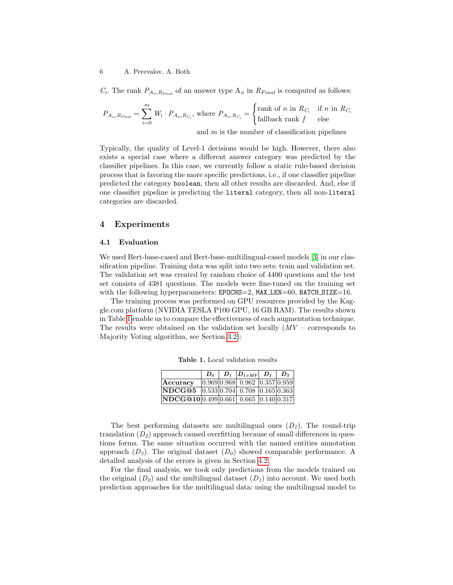$C_i$ . The rank  $P_{A_n,R_{Final}}$  of an answer type  $A_n$  in  $R_{Final}$  is computed as follows:

$$
P_{A_n, R_{Final}} = \sum_{i=0}^{m} W_i \cdot P_{A_n, R_{C_i}}, \text{ where } P_{A_n, R_{C_i}} = \begin{cases} \text{rank of } n \text{ in } R_{C_i} & \text{if } n \text{ in } R_{C_i} \\ \text{fallback rank } f & \text{else} \end{cases}
$$

and  $m$  is the number of classification pipelines

Typically, the quality of Level-1 decisions would be high. However, there also exists a special case where a different answer category was predicted by the classifier pipelines. In this case, we currently follow a static rule-based decision process that is favoring the more specific predictions, i.e., if one classifier pipeline predicted the category boolean, then all other results are discarded. And, else if one classifier pipeline is predicting the literal category, then all non-literal categories are discarded.

# <span id="page-5-0"></span>4 Experiments

#### 4.1 Evaluation

We used Bert-base-cased and Bert-base-multilingual-cased models [\[3\]](#page-8-2) in our classification pipeline. Training data was split into two sets: train and validation set. The validation set was created by random choice of 4400 questions and the test set consists of 4381 questions. The models were fine-tuned on the training set with the following hyperparameters:  $EPCHS = 2$ ,  $MAX$ <sub>LEN</sub>=60, BATCH\_SIZE=16.

The training process was performed on GPU resources provided by the Kaggle.com platform (NVIDIA TESLA P100 GPU, 16 GB RAM). The results shown in Table [1](#page-5-1) enable us to compare the effectiveness of each augmentation technique. The results were obtained on the validation set locally  $(MV -$  corresponds to Majority Voting algorithm, see Section [3.2\)](#page-3-3):

|                                                             |  | $D_0$   $D_1$   $D_{1+MV}$   $D_2$   $D_3$ |  |
|-------------------------------------------------------------|--|--------------------------------------------|--|
| Accuracy                                                    |  | $ 0.969 0.968 $ 0.962 $ 0.357 0.959$       |  |
| NDCG@5 $ 0.533 0.704 $ 0.708 $ 0.165 0.363$                 |  |                                            |  |
| $\overline{\textbf{NDCG@10}}$ 0.499 0.661 0.665 0.140 0.317 |  |                                            |  |

<span id="page-5-1"></span>Table 1. Local validation results

The best performing datasets are multilingual ones  $(D_1)$ . The round-trip translation  $(D_2)$  approach caused overfitting because of small differences in questions forms. The same situation occurred with the named entities annotation approach  $(D_3)$ . The original dataset  $(D_0)$  showed comparable performance. A detailed analysis of the errors is given in Section [4.2.](#page-6-0)

For the final analysis, we took only predictions from the models trained on the original  $(D_0)$  and the multilingual dataset  $(D_1)$  into account. We used both prediction approaches for the multilingual data: using the multilingual model to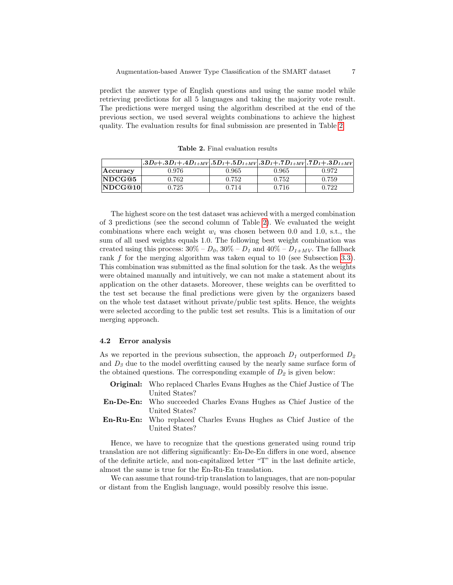predict the answer type of English questions and using the same model while retrieving predictions for all 5 languages and taking the majority vote result. The predictions were merged using the algorithm described at the end of the previous section, we used several weights combinations to achieve the highest quality. The evaluation results for final submission are presented in Table [2.](#page-6-1)

<span id="page-6-1"></span>

| <b>Table 2.</b> Final evaluation results |  |
|------------------------------------------|--|
|------------------------------------------|--|

|          | $ 1.3D_\theta+.3D_1+.4D_{1+MV}$ , $5D_1+.5D_{1+MV}$ , $3D_1+.7D_{1+MV}$ , $7D_1+.3D_{1+MV}$ |       |       |       |
|----------|---------------------------------------------------------------------------------------------|-------|-------|-------|
| Accuracy | 0.976                                                                                       | 0.965 | 0.965 | 0.972 |
| NDCG@5   | 0.762                                                                                       | 0.752 | 0.752 | 0.759 |
| NDCG@10  | 0.725                                                                                       | 0.714 | 0.716 | 0.722 |

The highest score on the test dataset was achieved with a merged combination of 3 predictions (see the second column of Table [2\)](#page-6-1). We evaluated the weight combinations where each weight  $w_i$  was chosen between 0.0 and 1.0, s.t., the sum of all used weights equals 1.0. The following best weight combination was created using this process:  $30\% - D_0$ ,  $30\% - D_1$  and  $40\% - D_{1+MV}$ . The fallback rank f for the merging algorithm was taken equal to 10 (see Subsection [3.3\)](#page-4-2). This combination was submitted as the final solution for the task. As the weights were obtained manually and intuitively, we can not make a statement about its application on the other datasets. Moreover, these weights can be overfitted to the test set because the final predictions were given by the organizers based on the whole test dataset without private/public test splits. Hence, the weights were selected according to the public test set results. This is a limitation of our merging approach.

#### <span id="page-6-0"></span>4.2 Error analysis

As we reported in the previous subsection, the approach  $D_1$  outperformed  $D_2$ and  $D_3$  due to the model overfitting caused by the nearly same surface form of the obtained questions. The corresponding example of  $D<sub>2</sub>$  is given below:

- Original: Who replaced Charles Evans Hughes as the Chief Justice of The United States?
- En-De-En: Who succeeded Charles Evans Hughes as Chief Justice of the United States?
- En-Ru-En: Who replaced Charles Evans Hughes as Chief Justice of the United States?

Hence, we have to recognize that the questions generated using round trip translation are not differing significantly: En-De-En differs in one word, absence of the definite article, and non-capitalized letter "T" in the last definite article, almost the same is true for the En-Ru-En translation.

We can assume that round-trip translation to languages, that are non-popular or distant from the English language, would possibly resolve this issue.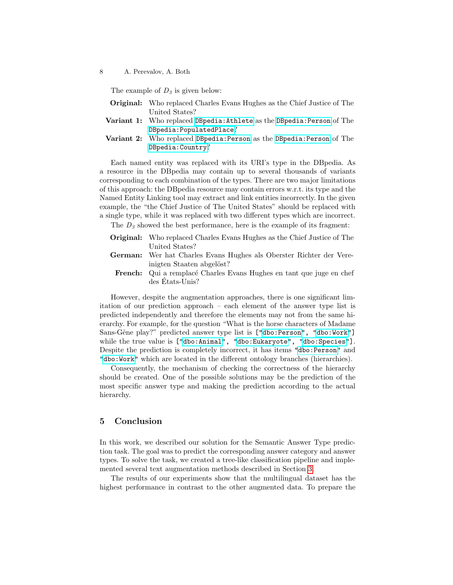The example of  $D_3$  is given below:

- Original: Who replaced Charles Evans Hughes as the Chief Justice of The United States?
- Variant 1: Who replaced DBpedia: Athlete as the DBpedia: Person of The [DBpedia:PopulatedPlace](http://dbpedia.org/ontology/PopulatedPlace)?
- Variant 2: Who replaced [DBpedia:Person](http://dbpedia.org/ontology/Person) as the [DBpedia:Person](http://dbpedia.org/ontology/Person) of The [DBpedia:Country](http://dbpedia.org/ontology/Country)?

Each named entity was replaced with its URI's type in the DBpedia. As a resource in the DBpedia may contain up to several thousands of variants corresponding to each combination of the types. There are two major limitations of this approach: the DBpedia resource may contain errors w.r.t. its type and the Named Entity Linking tool may extract and link entities incorrectly. In the given example, the "the Chief Justice of The United States" should be replaced with a single type, while it was replaced with two different types which are incorrect.

The  $D_3$  showed the best performance, here is the example of its fragment:

- Original: Who replaced Charles Evans Hughes as the Chief Justice of The United States?
- German: Wer hat Charles Evans Hughes als Oberster Richter der Vereinigten Staaten abgelöst?
- French: Qui a remplacé Charles Evans Hughes en tant que juge en chef des Etats-Unis? ´

However, despite the augmentation approaches, there is one significant limitation of our prediction approach – each element of the answer type list is predicted independently and therefore the elements may not from the same hierarchy. For example, for the question "What is the horse characters of Madame Sans-Gêne play?" predicted answer type list is [["dbo:Person"](http://dbpedia.org/ontology/Person), ["dbo:Work"](http://dbpedia.org/ontology/Work)] while the true value is [["dbo:Animal"](http://dbpedia.org/ontology/Animal), ["dbo:Eukaryote"](http://dbpedia.org/ontology/Eukaryote), ["dbo:Species"](http://dbpedia.org/ontology/Species)]. Despite the prediction is completely incorrect, it has items ["dbo:Person"](http://dbpedia.org/ontology/Person) and ["dbo:Work"](http://dbpedia.org/ontology/Work) which are located in the different ontology branches (hierarchies).

Consequently, the mechanism of checking the correctness of the hierarchy should be created. One of the possible solutions may be the prediction of the most specific answer type and making the prediction according to the actual hierarchy.

## <span id="page-7-0"></span>5 Conclusion

In this work, we described our solution for the Semantic Answer Type prediction task. The goal was to predict the corresponding answer category and answer types. To solve the task, we created a tree-like classification pipeline and implemented several text augmentation methods described in Section [3.](#page-2-0)

The results of our experiments show that the multilingual dataset has the highest performance in contrast to the other augmented data. To prepare the